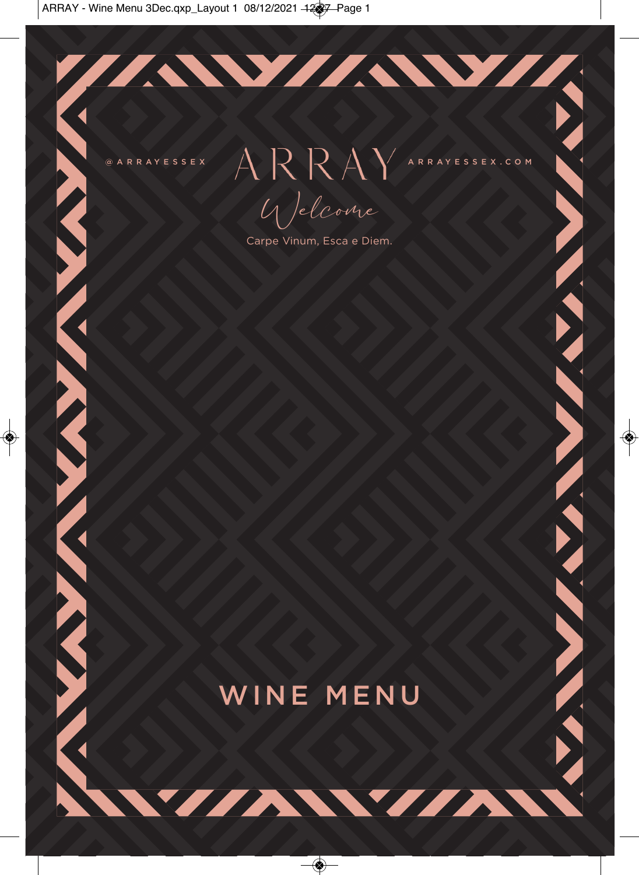**ARTICAL AND AND AND A** 

 $\begin{picture}(180,48) \put(0,0){\line(1,0){180}} \put(10,0){\line(1,0){180}} \put(10,0){\line(1,0){180}} \put(10,0){\line(1,0){180}} \put(10,0){\line(1,0){180}} \put(10,0){\line(1,0){180}} \put(10,0){\line(1,0){180}} \put(10,0){\line(1,0){180}} \put(10,0){\line(1,0){180}} \put(10,0){\line(1,0){180}} \put(10,0){\line(1,0){180}}$ 

IAWIAWII

**ANALLANA ANALLANA ANI** 

Welcome

Carpe Vinum, Esca e Diem.

# WINE MENU

VIAWIA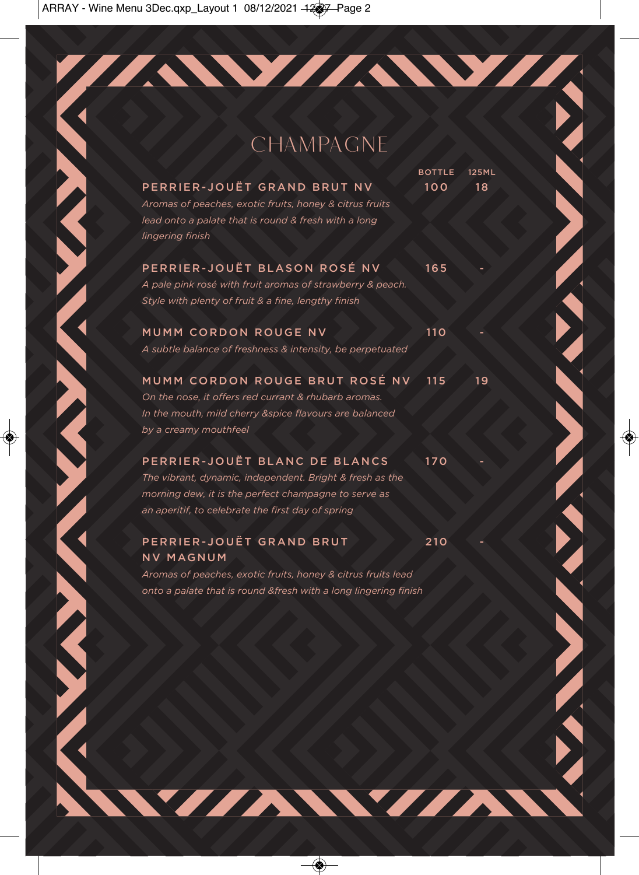## CHAMPAGNE

//AW/AW/A

|                                                                                                                                                                                                        | <b>BOTTLE</b> | 125ML |  |
|--------------------------------------------------------------------------------------------------------------------------------------------------------------------------------------------------------|---------------|-------|--|
| PERRIER-JOUËT GRAND BRUT NV<br>Aromas of peaches, exotic fruits, honey & citrus fruits<br>lead onto a palate that is round & fresh with a long<br>lingering finish                                     | 100           | 18    |  |
| PERRIER-JOUËT BLASON ROSÉ NV<br>A pale pink rosé with fruit aromas of strawberry & peach.<br>Style with plenty of fruit & a fine, lengthy finish                                                       | 165           |       |  |
| MUMM CORDON ROUGE NV<br>A subtle balance of freshness & intensity, be perpetuated                                                                                                                      | 110           |       |  |
| MUMM CORDON ROUGE BRUT ROSÉ NV<br>On the nose, it offers red currant & rhubarb aromas.<br>In the mouth, mild cherry &spice flavours are balanced<br>by a creamy mouthfeel                              | 115           | 19    |  |
| PERRIER-JOUËT BLANC DE BLANCS<br>The vibrant, dynamic, independent. Bright & fresh as the<br>morning dew, it is the perfect champagne to serve as<br>an aperitif, to celebrate the first day of spring | 170           |       |  |
| PERRIER-JOUËT GRAND BRUT<br><b>NV MAGNUM</b>                                                                                                                                                           | 210           |       |  |

*Aromas of peaches, exotic fruits, honey & citrus fruits lead onto a palate that is round &fresh with a long lingering finish*

WIAWIAN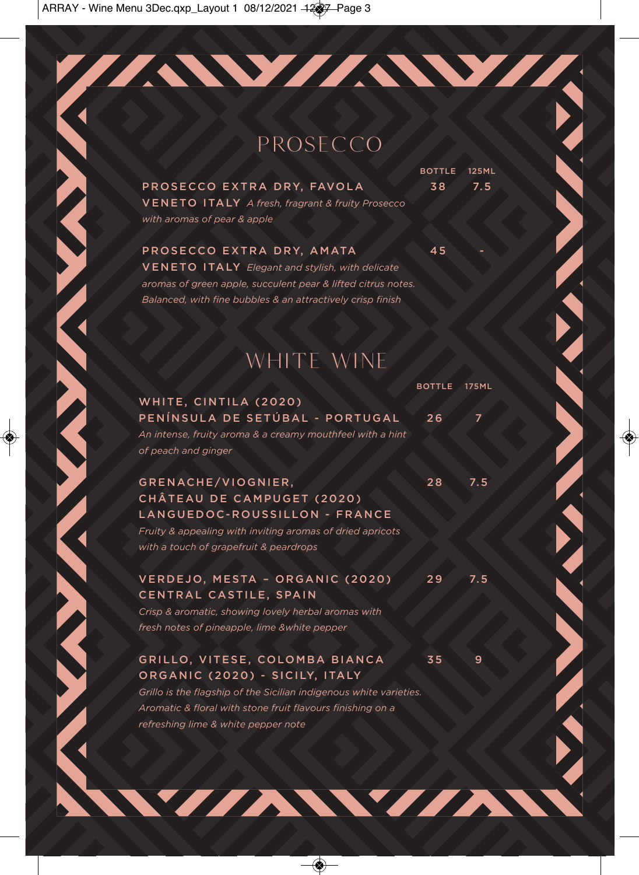## PROSECCO

77AW/AW/A

PROSECCO EXTRA DRY, FAVOLA 38 7.5 VENETO ITALY *A fresh, fragrant & fruity Prosecco with aromas of pear & apple*

BOTTLE 125ML

PROSECCO EXTRA DRY, AMATA 45 VENETO ITALY *Elegant and stylish, with delicate aromas of green apple, succulent pear & lifted citrus notes. Balanced, with fine bubbles & an attractively crisp finish*

## WHITE WINE

|                                                                                                                                                                                                                                             | BOTTLE 175ML |     |
|---------------------------------------------------------------------------------------------------------------------------------------------------------------------------------------------------------------------------------------------|--------------|-----|
| WHITE, CINTILA (2020)<br>PENÍNSULA DE SETÚBAL - PORTUGAL<br>An intense, fruity aroma & a creamy mouthfeel with a hint<br>of peach and ginger                                                                                                | 26           | 7   |
| GRENACHE/VIOGNIER,<br>CHÂTEAU DE CAMPUGET (2020)<br>LANGUEDOC-ROUSSILLON - FRANCE<br>Fruity & appealing with inviting aromas of dried apricots<br>with a touch of grapefruit & peardrops                                                    | 28           | 7.5 |
| VERDEJO, MESTA - ORGANIC (2020)<br>CENTRAL CASTILE, SPAIN<br>Crisp & aromatic, showing lovely herbal aromas with<br>fresh notes of pineapple, lime &white pepper                                                                            | 29           | 7.5 |
| GRILLO, VITESE, COLOMBA BIANCA<br>ORGANIC (2020) - SICILY, ITALY<br>Grillo is the flagship of the Sicilian indigenous white varieties.<br>Aromatic & floral with stone fruit flavours finishing on a<br>refreshing lime & white pepper note | 35           | 9   |

WIZAWIZA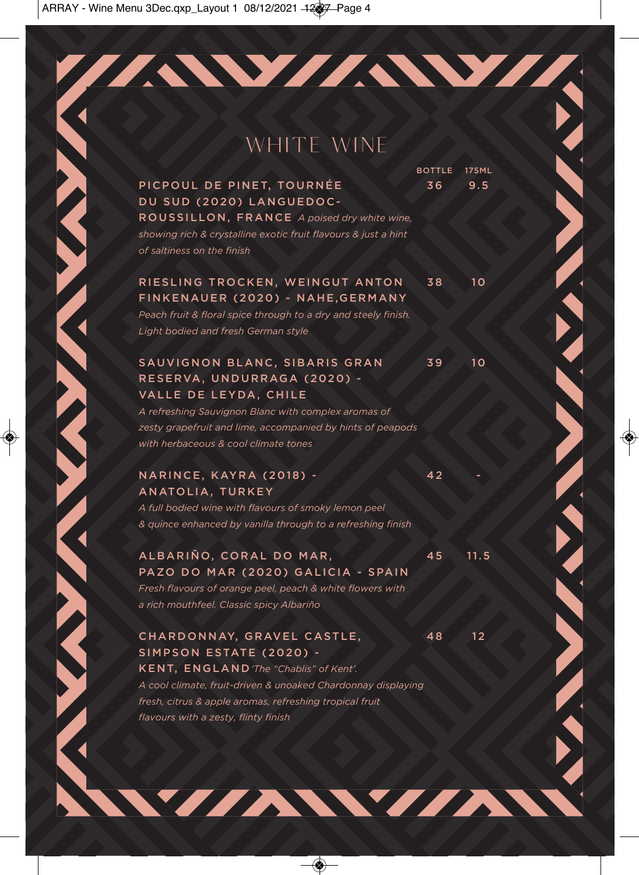## WHITE WINE

//AW//AW//

**BOTTLE 175ML** PICPOUL DE PINET, TOURNÉE 36 9.5

ROUSSILLON, FRANCE *A poised dry white wine, showing rich & crystalline exotic fruit flavours & just a hint of saltiness on the finish*

DU SUD (2020) LANGUEDOC-

### RIESLING TROCKEN, WEINGUT ANTON 38 10 FINKENAUER (2020) - NAHE,GERMANY

*Peach fruit & floral spice through to a dry and steely finish. Light bodied and fresh German style*

### SAUVIGNON BLANC, SIBARIS GRAN 39 10 RESERVA, UNDURRAGA (2020) - VALLE DE LEYDA, CHILE

*A refreshing Sauvignon Blanc with complex aromas of zesty grapefruit and lime, accompanied by hints of peapods with herbaceous & cool climate tones*

### NARINCE, KAYRA (2018) - 42 ANATOLIA, TURKEY

*A full bodied wine with flavours of smoky lemon peel & quince enhanced by vanilla through to a refreshing finish*

### ALBARIÑO, CORAL DO MAR, 45 11.5 PAZO DO MAR (2020) GALICIA - SPAIN

*Fresh flavours of orange peel, peach & white flowers with a rich mouthfeel. Classic spicy Albariño*

### CHARDONNAY, GRAVEL CASTLE, 48 12 SIMPSON ESTATE (2020) - KENT, ENGLAND*'The "Chablis" of Kent'.*

*A cool climate, fruit-driven & unoaked Chardonnay displaying fresh, citrus & apple aromas, refreshing tropical fruit flavours with a zesty, flinty finish*

WZZAWYZA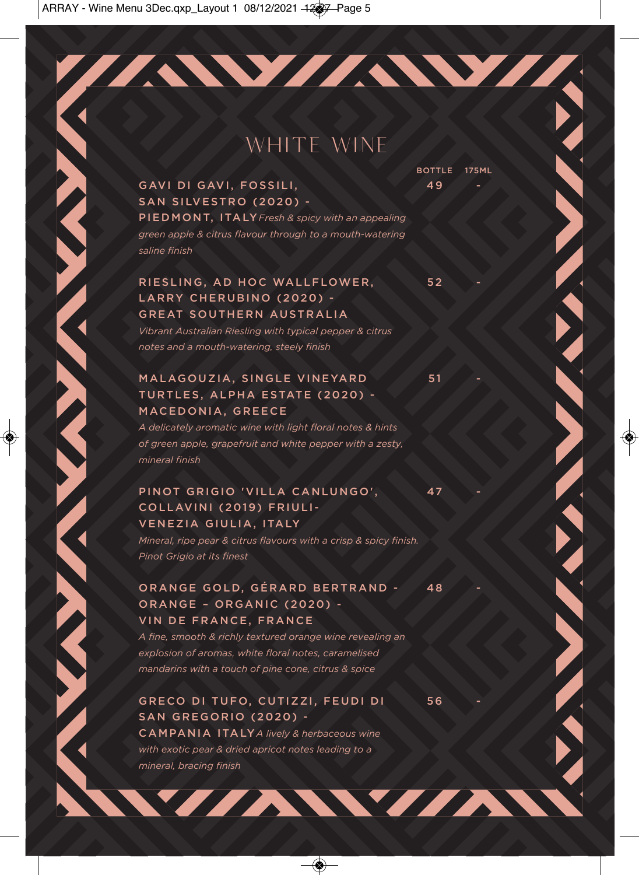## WHITE WINE

//AW/AW/A

**BOTTLE 175ML** 

GAVI DI GAVI, FOSSILI, 1988. 1998. ILI SAN SILVESTRO (2020) - PIEDMONT, ITALY *Fresh & spicy with an appealing green apple & citrus flavour through to a mouth-watering saline finish*

### RIESLING, AD HOC WALLFLOWER. 52 LARRY CHERUBINO (2020) - GREAT SOUTHERN AUSTRALIA

*Vibrant Australian Riesling with typical pepper & citrus notes and a mouth-watering, steely finish*

### MALAGOUZIA, SINGLE VINEYARD 31 TURTLES, ALPHA ESTATE (2020) - MACEDONIA, GREECE

**CONTRACTOR** 

**CONTRACTOR** 

*A delicately aromatic wine with light floral notes & hints of green apple, grapefruit and white pepper with a zesty, mineral finish*

### PINOT GRIGIO 'VILLA CANLUNGO', 47 COLLAVINI (2019) FRIULI-VENEZIA GIULIA, ITALY

*Mineral, ripe pear & citrus flavours with a crisp & spicy finish. Pinot Grigio at its finest*

### ORANGE GOLD, GÉRARD BERTRAND - 48 ORANGE – ORGANIC (2020) - VIN DE FRANCE, FRANCE

*A fine, smooth & richly textured orange wine revealing an explosion of aromas, white floral notes, caramelised mandarins with a touch of pine cone, citrus & spice*

### GRECO DI TUFO, CUTIZZI, FEUDI DI 56 SAN GREGORIO (2020) -

CAMPANIA ITALY *A lively & herbaceous wine with exotic pear & dried apricot notes leading to a mineral, bracing finish*

WIAWIAN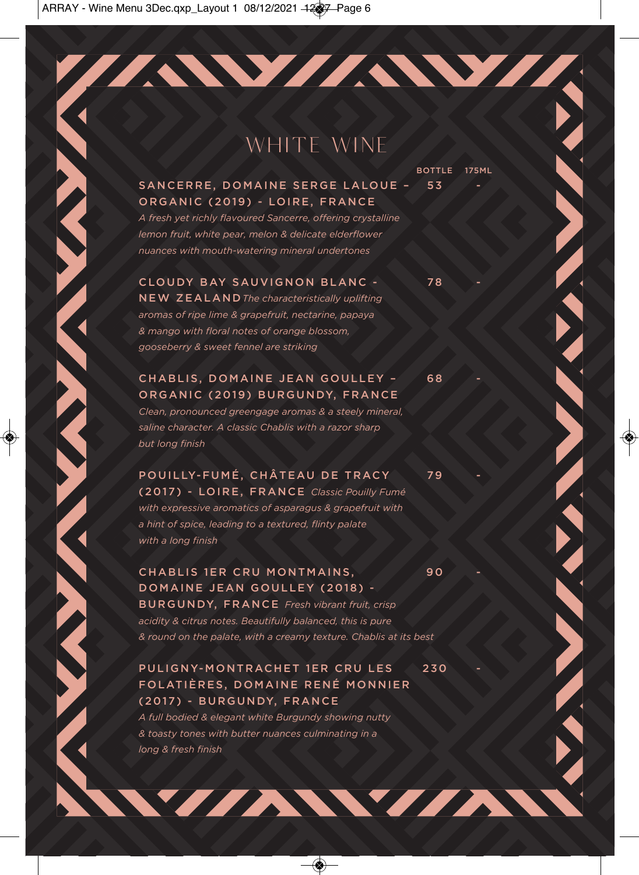## WHITE WINE

//AW/AW/A

**BOTTLE 175ML** 

### SANCERRE, DOMAINE SERGE LALOUE - 53 ORGANIC (2019) - LOIRE, FRANCE

*A fresh yet richly flavoured Sancerre, offering crystalline lemon fruit, white pear, melon & delicate elderflower nuances with mouth-watering mineral undertones*

### CLOUDY BAY SAUVIGNON BLANC - 78

NEW ZEALAND*The characteristically uplifting aromas of ripe lime & grapefruit, nectarine, papaya & mango with floral notes of orange blossom, gooseberry & sweet fennel are striking*

### CHABLIS, DOMAINE JEAN GOULLEY - 68 ORGANIC (2019) BURGUNDY, FRANCE

*Clean, pronounced greengage aromas & a steely mineral, saline character. A classic Chablis with a razor sharp but long finish* 

**Contract of the Contract of the Contract of Contract of the Contract of Contract of the Contract of Contract of The Contract of The Contract of The Contract of The Contract of The Contract of The Contract of The Contract** 

POUILLY-FUMÉ, CHÂTEAU DE TRACY 79 (2017) - LOIRE, FRANCE *Classic Pouilly Fumé with expressive aromatics of asparagus & grapefruit with a hint of spice, leading to a textured, flinty palate with a long finish*

### CHABLIS 1ER CRU MONTMAINS, 90 DOMAINE JEAN GOULLEY (2018) -

BURGUNDY, FRANCE *Fresh vibrant fruit, crisp acidity & citrus notes. Beautifully balanced, this is pure & round on the palate, with a creamy texture. Chablis at its best*

### PULIGNY-MONTRACHET 1ER CRU LES 230 FOLATIÈRES, DOMAINE RENÉ MONNIER (2017) - BURGUNDY, FRANCE

WIZAWIZA

*A full bodied & elegant white Burgundy showing nutty & toasty tones with butter nuances culminating in a long & fresh finish*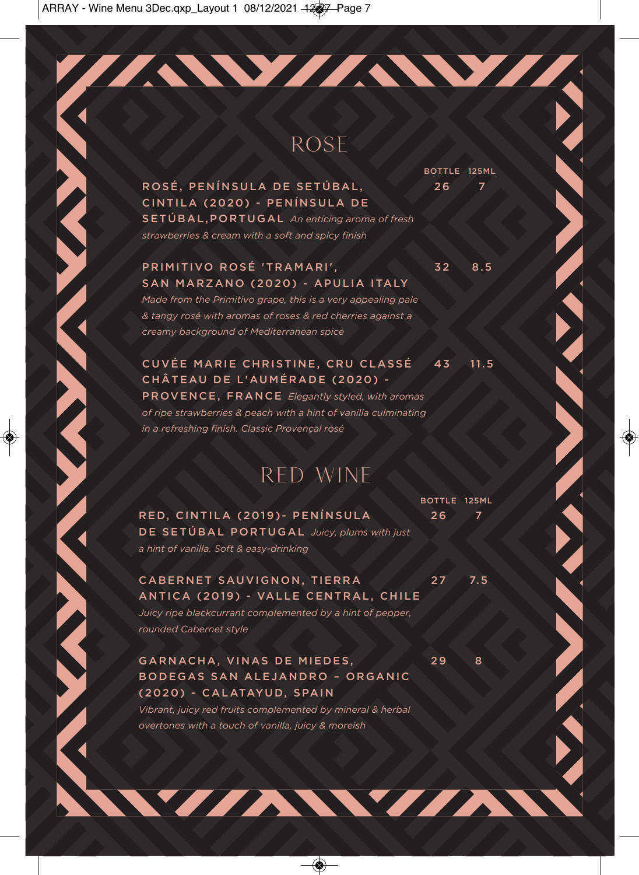## ROSE

//AW//AW//

ROSÉ, PENÍNSULA DE SETÚBAL, 26 7 CINTILA (2020) - PENÍNSULA DE SETÚBAL,PORTUGAL *An enticing aroma of fresh strawberries & cream with a soft and spicy finish*

### PRIMITIVO ROSÉ 'TRAMARI', 32 8.5 SAN MARZANO (2020) - APULIA ITALY

*Made from the Primitivo grape, this is a very appealing pale & tangy rosé with aromas of roses & red cherries against a creamy background of Mediterranean spice*

CUVÉE MARIE CHRISTINE, CRU CLASSÉ 43 11.5 CHÂTEAU DE L'AUMÉRADE (2020) - PROVENCE, FRANCE *Elegantly styled, with aromas of ripe strawberries & peach with a hint of vanilla culminating* 

*in a refreshing finish. Classic Provençal rosé*

## RED WINE

RED, CINTILA (2019)- PENÍNSULA 26 7 DE SETÚBAL PORTUGAL *Juicy, plums with just a hint of vanilla. Soft & easy-drinking*

### CABERNET SAUVIGNON, TIERRA 27 7.5 ANTICA (2019) - VALLE CENTRAL, CHILE

*Juicy ripe blackcurrant complemented by a hint of pepper, rounded Cabernet style*

### GARNACHA, VINAS DE MIEDES, 29 8 BODEGAS SAN ALEJANDRO – ORGANIC (2020) - CALATAYUD, SPAIN

*Vibrant, juicy red fruits complemented by mineral & herbal overtones with a touch of vanilla, juicy & moreish*

WIAWIAN

BOTTLE 125ML

BOTTLE 125ML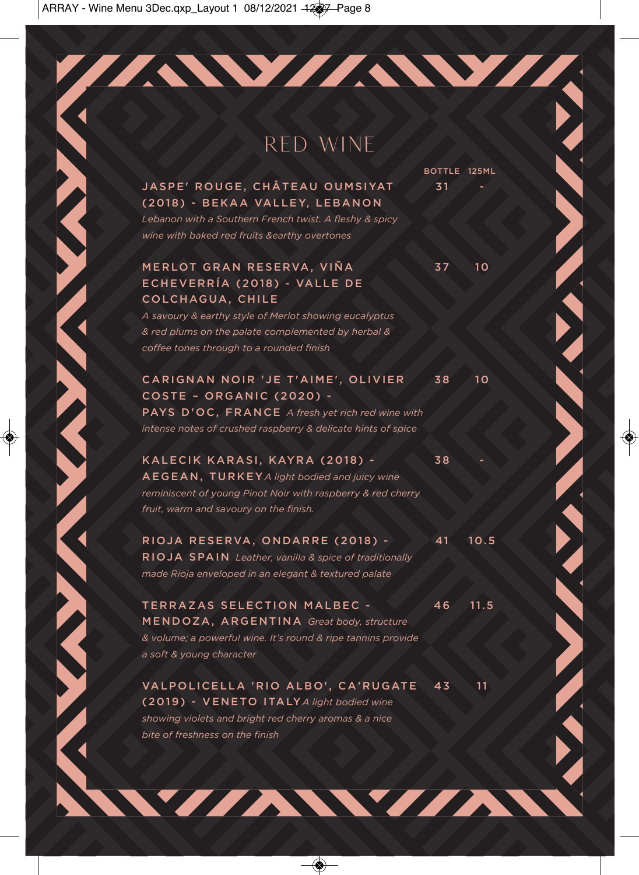## RED WINE

//AW/AW//

JASPE' ROUGE, CHÂTEAU OUMSIYAT 31 (2018) - BEKAA VALLEY, LEBANON

*Lebanon with a Southern French twist. A fleshy & spicy wine with baked red fruits &earthy overtones*

### MERLOT GRAN RESERVA, VIÑA 37 37 10 ECHEVERRÍA (2018) - VALLE DE COLCHAGUA, CHILE

*A savoury & earthy style of Merlot showing eucalyptus & red plums on the palate complemented by herbal & coffee tones through to a rounded finish*

CARIGNAN NOIR 'JE T'AIME', OLIVIER 38 10 COSTE – ORGANIC (2020) - PAYS D'OC, FRANCE *A fresh yet rich red wine with intense notes of crushed raspberry & delicate hints of spice* 

KALECIK KARASI, KAYRA (2018) - 38 AEGEAN, TURKEY *A light bodied and juicy wine reminiscent of young Pinot Noir with raspberry & red cherry fruit, warm and savoury on the finish.*

RIOJA RESERVA, ONDARRE (2018) - 41 10.5 RIOJA SPAIN *Leather, vanilla & spice of traditionally made Rioja enveloped in an elegant & textured palate*

TERRAZAS SELECTION MALBEC - 46 11.5 MENDOZA, ARGENTINA *Great body, structure & volume; a powerful wine. It's round & ripe tannins provide a soft & young character* 

VALPOLICELLA 'RIO ALBO', CA'RUGATE 43 11 (2019) - VENETO ITALY *A light bodied wine showing violets and bright red cherry aromas & a nice bite of freshness on the finish*

WIAWIAN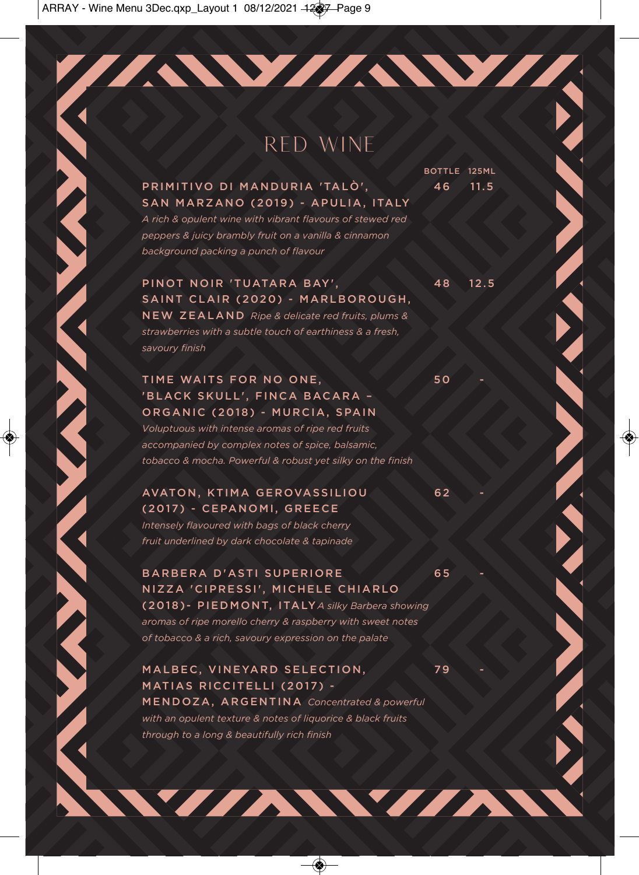## RED WINE

//AW/AW//

PRIMITIVO DI MANDURIA 'TALÒ', 46 11.5 SAN MARZANO (2019) - APULIA, ITALY

*A rich & opulent wine with vibrant flavours of stewed red peppers & juicy brambly fruit on a vanilla & cinnamon background packing a punch of flavour*

BOTTLE 125ML

PINOT NOIR 'TUATARA BAY', 48 12.5 SAINT CLAIR (2020) - MARLBOROUGH, NEW ZEALAND *Ripe & delicate red fruits, plums & strawberries with a subtle touch of earthiness & a fresh, savoury finish*

### TIME WAITS FOR NO ONE, 50 'BLACK SKULL', FINCA BACARA – ORGANIC (2018) - MURCIA, SPAIN

*Voluptuous with intense aromas of ripe red fruits accompanied by complex notes of spice, balsamic, tobacco & mocha. Powerful & robust yet silky on the finish*

### AVATON, KTIMA GEROVASSILIOU 62 (2017) - CEPANOMI, GREECE

*Intensely flavoured with bags of black cherry fruit underlined by dark chocolate & tapinade*

BARBERA D'ASTI SUPERIORE 65 NIZZA 'CIPRESSI', MICHELE CHIARLO (2018)- PIEDMONT, ITALY *A silky Barbera showing aromas of ripe morello cherry & raspberry with sweet notes of tobacco & a rich, savoury expression on the palate* 

MALBEC, VINEYARD SELECTION, 79 MATIAS RICCITELLI (2017) - MENDOZA, ARGENTINA *Concentrated & powerful with an opulent texture & notes of liquorice & black fruits through to a long & beautifully rich finish* 

WZZAWYZA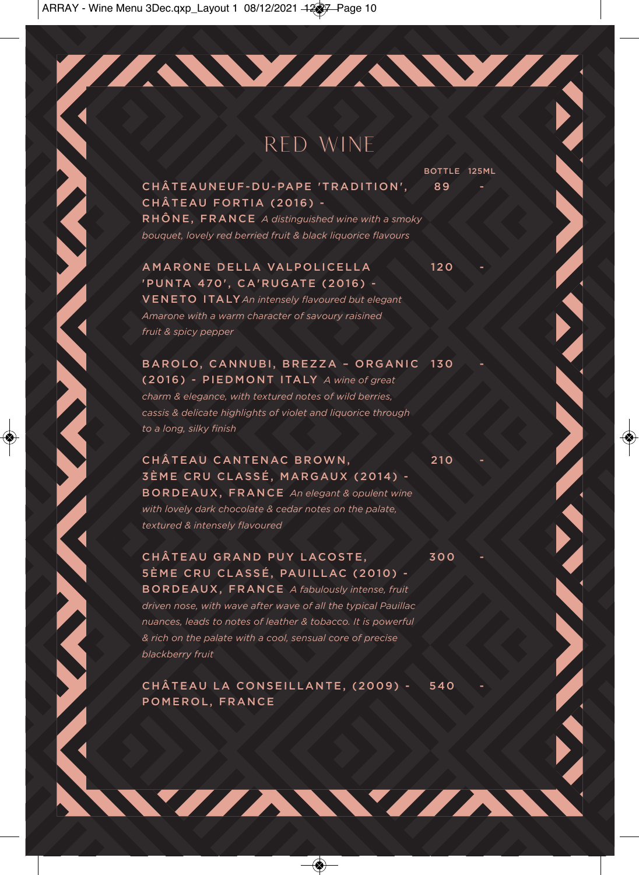## RED WINE

//AW//AW//

CHÂTEAUNEUF-DU-PAPE 'TRADITION', 89 CHÂTEAU FORTIA (2016) - RHÔNE, FRANCE *A distinguished wine with a smoky bouquet, lovely red berried fruit & black liquorice flavours*

### AMARONE DELLA VALPOLICELLA 120 'PUNTA 470', CA'RUGATE (2016) -

VENETO ITALY *An intensely flavoured but elegant Amarone with a warm character of savoury raisined fruit & spicy pepper*

BAROLO, CANNUBI, BREZZA - ORGANIC 130 (2016) - PIEDMONT ITALY *A wine of great charm & elegance, with textured notes of wild berries, cassis & delicate highlights of violet and liquorice through to a long, silky finish* 

CHÂTEAU CANTENAC BROWN, 210 3ÈME CRU CLASSÉ, MARGAUX (2014) - BORDEAUX, FRANCE *An elegant & opulent wine with lovely dark chocolate & cedar notes on the palate, textured & intensely flavoured*

CHÂTEAU GRAND PUY LACOSTE. 300 5ÈME CRU CLASSÉ, PAUILLAC (2010) - BORDEAUX, FRANCE *A fabulously intense, fruit driven nose, with wave after wave of all the typical Pauillac nuances, leads to notes of leather & tobacco. It is powerful & rich on the palate with a cool, sensual core of precise blackberry fruit*

CHÂTEAU LA CONSEILLANTE, (2009) - 540 POMEROL, FRANCE

WZZAWYZA

BOTTLE 125ML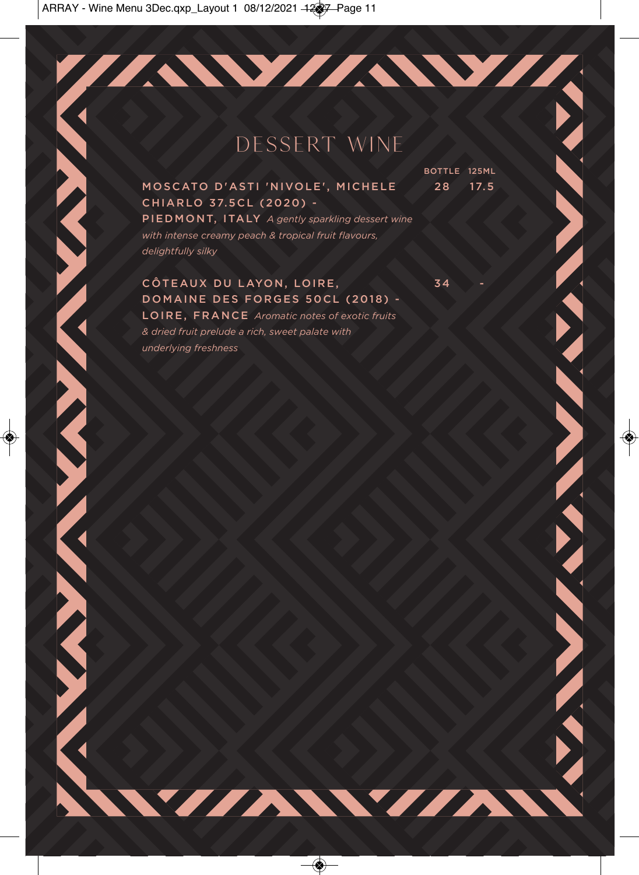## DESSERT WINE

**BOTTLE 125ML** 

WIAWIA

MOSCATO D'ASTI 'NIVOLE', MICHELE 2 8 17.5 CHIARLO 37.5CL (2020) -

PIEDMONT, ITALY *A gently sparkling dessert wine with intense creamy peach & tropical fruit flavours, delightfully silky*

### CÔTEAUX DU LAYON, LOIRE, STRAUS 34 -DOMAINE DES FORGES 50CL (2018) -

**ANTENNAN MENTAL ANNES** 

LOIRE, FRANCE *Aromatic notes of exotic fruits & dried fruit prelude a rich, sweet palate with underlying freshness*